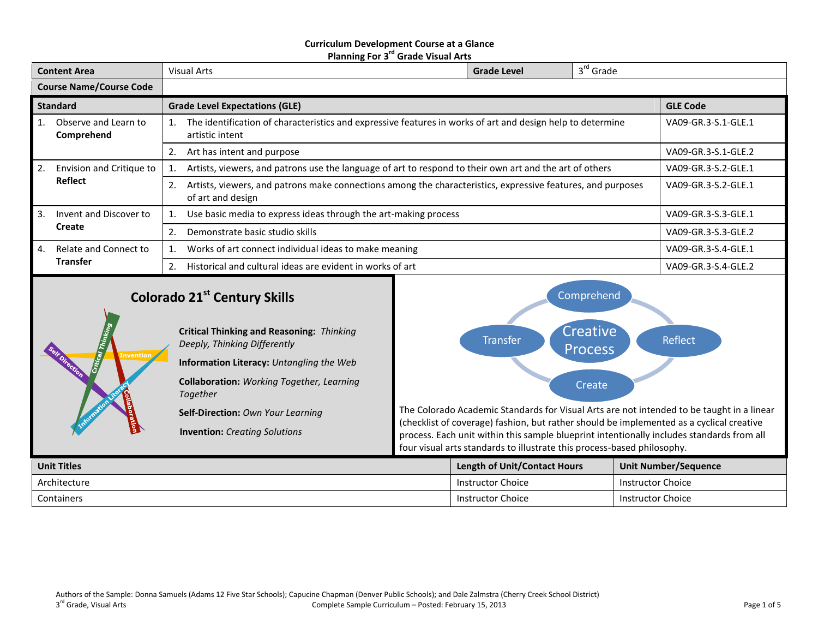#### **Curriculum Development Course at a Glance Planning For 3 rd Grade Visual Arts**

| <b>Content Area</b>            |                                     | 3 <sup>rd</sup> Grade<br><b>Grade Level</b><br><b>Visual Arts</b>                                                                      |                     |  |                     |  |  |
|--------------------------------|-------------------------------------|----------------------------------------------------------------------------------------------------------------------------------------|---------------------|--|---------------------|--|--|
| <b>Course Name/Course Code</b> |                                     |                                                                                                                                        |                     |  |                     |  |  |
| <b>Standard</b>                |                                     | <b>Grade Level Expectations (GLE)</b>                                                                                                  | <b>GLE Code</b>     |  |                     |  |  |
| 1.                             | Observe and Learn to<br>Comprehend  | The identification of characteristics and expressive features in works of art and design help to determine<br>1.<br>artistic intent    | VA09-GR.3-S.1-GLE.1 |  |                     |  |  |
|                                |                                     | Art has intent and purpose<br>2.                                                                                                       | VA09-GR.3-S.1-GLE.2 |  |                     |  |  |
| 2.                             | Envision and Critique to<br>Reflect | Artists, viewers, and patrons use the language of art to respond to their own art and the art of others                                | VA09-GR.3-S.2-GLE.1 |  |                     |  |  |
|                                |                                     | Artists, viewers, and patrons make connections among the characteristics, expressive features, and purposes<br>2.<br>of art and design |                     |  | VA09-GR.3-S.2-GLE.1 |  |  |
| 3.                             | Invent and Discover to              | Use basic media to express ideas through the art-making process                                                                        | VA09-GR.3-S.3-GLE.1 |  |                     |  |  |
|                                | Create                              | Demonstrate basic studio skills<br>2.                                                                                                  | VA09-GR.3-S.3-GLE.2 |  |                     |  |  |
| 4.                             | Relate and Connect to               | Works of art connect individual ideas to make meaning<br>1.                                                                            | VA09-GR.3-S.4-GLE.1 |  |                     |  |  |
|                                | <b>Transfer</b>                     | Historical and cultural ideas are evident in works of art<br>2.                                                                        |                     |  | VA09-GR.3-S.4-GLE.2 |  |  |

# **Colorado 21st Century Skills**



Comprehend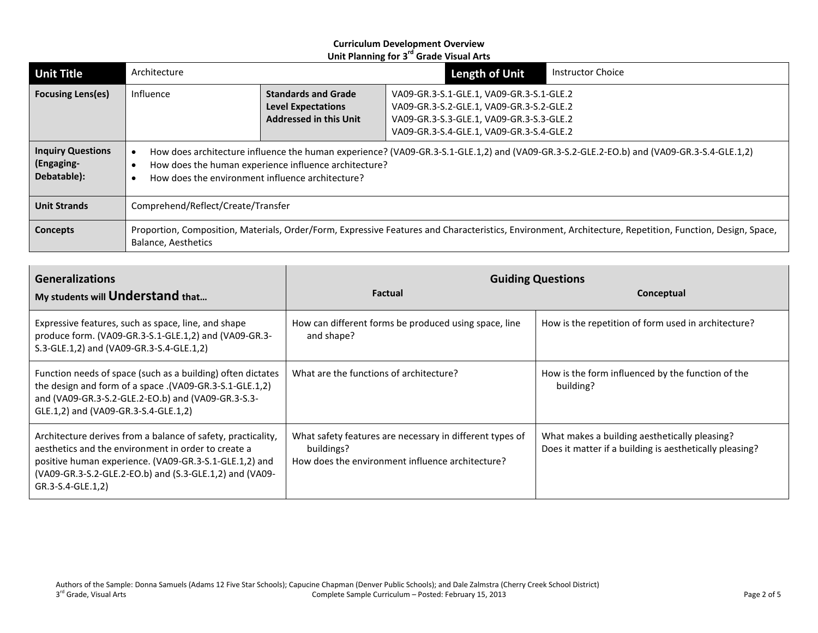| <b>Unit Title</b>                                     | Architecture                                                                                                                                                                                                                                          |                                                                                          | <b>Length of Unit</b>                                                                                                                                                        | <b>Instructor Choice</b> |  |
|-------------------------------------------------------|-------------------------------------------------------------------------------------------------------------------------------------------------------------------------------------------------------------------------------------------------------|------------------------------------------------------------------------------------------|------------------------------------------------------------------------------------------------------------------------------------------------------------------------------|--------------------------|--|
| <b>Focusing Lens(es)</b>                              | Influence                                                                                                                                                                                                                                             | <b>Standards and Grade</b><br><b>Level Expectations</b><br><b>Addressed in this Unit</b> | VA09-GR.3-S.1-GLE.1, VA09-GR.3-S.1-GLE.2<br>VA09-GR.3-S.2-GLE.1, VA09-GR.3-S.2-GLE.2<br>VA09-GR.3-S.3-GLE.1, VA09-GR.3-S.3-GLE.2<br>VA09-GR.3-S.4-GLE.1, VA09-GR.3-S.4-GLE.2 |                          |  |
| <b>Inquiry Questions</b><br>(Engaging-<br>Debatable): | How does architecture influence the human experience? (VA09-GR.3-S.1-GLE.1,2) and (VA09-GR.3-S.2-GLE.2-EO.b) and (VA09-GR.3-S.4-GLE.1,2)<br>How does the human experience influence architecture?<br>How does the environment influence architecture? |                                                                                          |                                                                                                                                                                              |                          |  |
| <b>Unit Strands</b>                                   | Comprehend/Reflect/Create/Transfer                                                                                                                                                                                                                    |                                                                                          |                                                                                                                                                                              |                          |  |
| <b>Concepts</b>                                       | Proportion, Composition, Materials, Order/Form, Expressive Features and Characteristics, Environment, Architecture, Repetition, Function, Design, Space,<br>Balance, Aesthetics                                                                       |                                                                                          |                                                                                                                                                                              |                          |  |

| <b>Generalizations</b><br>My students will <b>Understand</b> that                                                                                                                                                                                             | <b>Factual</b>                                                                                                             | <b>Guiding Questions</b><br>Conceptual                                                                   |  |
|---------------------------------------------------------------------------------------------------------------------------------------------------------------------------------------------------------------------------------------------------------------|----------------------------------------------------------------------------------------------------------------------------|----------------------------------------------------------------------------------------------------------|--|
| Expressive features, such as space, line, and shape<br>produce form. (VA09-GR.3-S.1-GLE.1,2) and (VA09-GR.3-<br>S.3-GLE.1,2) and (VA09-GR.3-S.4-GLE.1,2)                                                                                                      | How can different forms be produced using space, line<br>and shape?                                                        | How is the repetition of form used in architecture?                                                      |  |
| Function needs of space (such as a building) often dictates<br>the design and form of a space .(VA09-GR.3-S.1-GLE.1,2)<br>and (VA09-GR.3-S.2-GLE.2-EO.b) and (VA09-GR.3-S.3-<br>GLE.1,2) and (VA09-GR.3-S.4-GLE.1,2)                                          | What are the functions of architecture?                                                                                    | How is the form influenced by the function of the<br>building?                                           |  |
| Architecture derives from a balance of safety, practicality,<br>aesthetics and the environment in order to create a<br>positive human experience. (VA09-GR.3-S.1-GLE.1,2) and<br>(VA09-GR.3-S.2-GLE.2-EO.b) and (S.3-GLE.1,2) and (VA09-<br>GR.3-S.4-GLE.1,2) | What safety features are necessary in different types of<br>buildings?<br>How does the environment influence architecture? | What makes a building aesthetically pleasing?<br>Does it matter if a building is aesthetically pleasing? |  |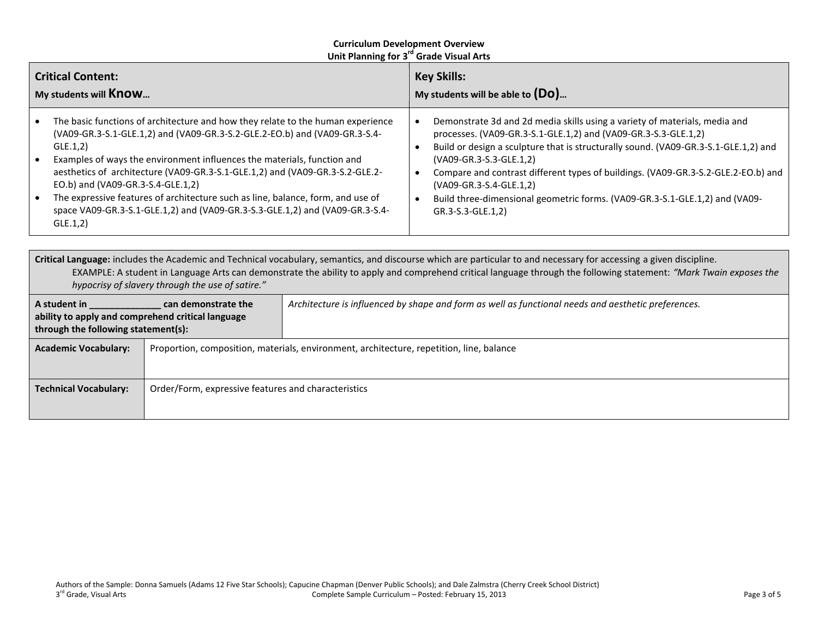| <b>Critical Content:</b><br>My students will <b>Know</b>                                                                                                                                                                                                                                                                                                                                                                                                                                                                                                 |  | <b>Key Skills:</b><br>My students will be able to $(D_0)$                                                                                                                                                                                                                                                                                                                                                                                                                          |  |  |
|----------------------------------------------------------------------------------------------------------------------------------------------------------------------------------------------------------------------------------------------------------------------------------------------------------------------------------------------------------------------------------------------------------------------------------------------------------------------------------------------------------------------------------------------------------|--|------------------------------------------------------------------------------------------------------------------------------------------------------------------------------------------------------------------------------------------------------------------------------------------------------------------------------------------------------------------------------------------------------------------------------------------------------------------------------------|--|--|
| The basic functions of architecture and how they relate to the human experience<br>(VA09-GR.3-S.1-GLE.1,2) and (VA09-GR.3-S.2-GLE.2-EO.b) and (VA09-GR.3-S.4-<br>GLE.1,2)<br>Examples of ways the environment influences the materials, function and<br>aesthetics of architecture (VA09-GR.3-S.1-GLE.1,2) and (VA09-GR.3-S.2-GLE.2-<br>EO.b) and (VA09-GR.3-S.4-GLE.1,2)<br>The expressive features of architecture such as line, balance, form, and use of<br>space VA09-GR.3-S.1-GLE.1,2) and (VA09-GR.3-S.3-GLE.1,2) and (VA09-GR.3-S.4-<br>GLE.1,2) |  | Demonstrate 3d and 2d media skills using a variety of materials, media and<br>processes. (VA09-GR.3-S.1-GLE.1,2) and (VA09-GR.3-S.3-GLE.1,2)<br>Build or design a sculpture that is structurally sound. (VA09-GR.3-S.1-GLE.1,2) and<br>(VA09-GR.3-S.3-GLE.1,2)<br>Compare and contrast different types of buildings. (VA09-GR.3-S.2-GLE.2-EO.b) and<br>(VA09-GR.3-S.4-GLE.1,2)<br>Build three-dimensional geometric forms. (VA09-GR.3-S.1-GLE.1,2) and (VA09-<br>GR.3-S.3-GLE.1,2) |  |  |
| Critical Language: includes the Academic and Technical vecabulary, computies, and discourse which are particular to and necessary for accessing a given discipline                                                                                                                                                                                                                                                                                                                                                                                       |  |                                                                                                                                                                                                                                                                                                                                                                                                                                                                                    |  |  |

**Critical Language:** includes the Academic and Technical vocabulary, semantics, and discourse which are particular to and necessary for accessing a given discipline. EXAMPLE: A student in Language Arts can demonstrate the ability to apply and comprehend critical language through the following statement: *"Mark Twain exposes the hypocrisy of slavery through the use of satire."* **A student in \_\_\_\_\_\_\_\_\_\_\_\_\_\_ can demonstrate the ability to apply and comprehend critical language**  *Architecture is influenced by shape and form as well as functional needs and aesthetic preferences.*

| through the following statement(s): |                                                                                          |
|-------------------------------------|------------------------------------------------------------------------------------------|
| <b>Academic Vocabulary:</b>         | Proportion, composition, materials, environment, architecture, repetition, line, balance |
|                                     |                                                                                          |
| <b>Technical Vocabulary:</b>        | Order/Form, expressive features and characteristics                                      |
|                                     |                                                                                          |
|                                     |                                                                                          |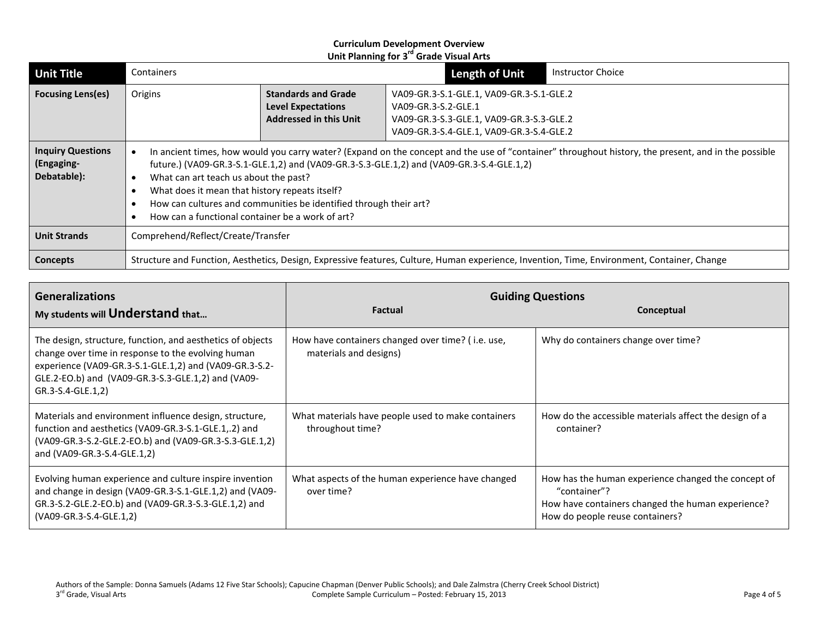| <b>Unit Title</b>                                     | Containers                                                                                                                                                                                                                                                                                                                                                                                                                                                          |  |                                                                                                                                                         | <b>Length of Unit</b> | <b>Instructor Choice</b> |
|-------------------------------------------------------|---------------------------------------------------------------------------------------------------------------------------------------------------------------------------------------------------------------------------------------------------------------------------------------------------------------------------------------------------------------------------------------------------------------------------------------------------------------------|--|---------------------------------------------------------------------------------------------------------------------------------------------------------|-----------------------|--------------------------|
| <b>Focusing Lens(es)</b>                              | <b>Standards and Grade</b><br>Origins<br><b>Level Expectations</b><br><b>Addressed in this Unit</b>                                                                                                                                                                                                                                                                                                                                                                 |  | VA09-GR.3-S.1-GLE.1, VA09-GR.3-S.1-GLE.2<br>VA09-GR.3-S.2-GLE.1<br>VA09-GR.3-S.3-GLE.1, VA09-GR.3-S.3-GLE.2<br>VA09-GR.3-S.4-GLE.1, VA09-GR.3-S.4-GLE.2 |                       |                          |
| <b>Inquiry Questions</b><br>(Engaging-<br>Debatable): | In ancient times, how would you carry water? (Expand on the concept and the use of "container" throughout history, the present, and in the possible<br>future.) (VA09-GR.3-S.1-GLE.1,2) and (VA09-GR.3-S.3-GLE.1,2) and (VA09-GR.3-S.4-GLE.1,2)<br>What can art teach us about the past?<br>What does it mean that history repeats itself?<br>How can cultures and communities be identified through their art?<br>How can a functional container be a work of art? |  |                                                                                                                                                         |                       |                          |
| <b>Unit Strands</b>                                   | Comprehend/Reflect/Create/Transfer                                                                                                                                                                                                                                                                                                                                                                                                                                  |  |                                                                                                                                                         |                       |                          |
| <b>Concepts</b>                                       | Structure and Function, Aesthetics, Design, Expressive features, Culture, Human experience, Invention, Time, Environment, Container, Change                                                                                                                                                                                                                                                                                                                         |  |                                                                                                                                                         |                       |                          |

| <b>Generalizations</b><br>My students will <b>Understand</b> that                                                                                                                                                                                     | <b>Factual</b>                                                              | <b>Guiding Questions</b><br>Conceptual                                                                                                                      |  |
|-------------------------------------------------------------------------------------------------------------------------------------------------------------------------------------------------------------------------------------------------------|-----------------------------------------------------------------------------|-------------------------------------------------------------------------------------------------------------------------------------------------------------|--|
| The design, structure, function, and aesthetics of objects<br>change over time in response to the evolving human<br>experience (VA09-GR.3-S.1-GLE.1,2) and (VA09-GR.3-S.2-<br>GLE.2-EO.b) and (VA09-GR.3-S.3-GLE.1,2) and (VA09-<br>GR.3-S.4-GLE.1,2) | How have containers changed over time? (i.e. use,<br>materials and designs) | Why do containers change over time?                                                                                                                         |  |
| Materials and environment influence design, structure,<br>function and aesthetics (VA09-GR.3-S.1-GLE.1,.2) and<br>(VA09-GR.3-S.2-GLE.2-EO.b) and (VA09-GR.3-S.3-GLE.1,2)<br>and (VA09-GR.3-S.4-GLE.1,2)                                               | What materials have people used to make containers<br>throughout time?      | How do the accessible materials affect the design of a<br>container?                                                                                        |  |
| Evolving human experience and culture inspire invention<br>and change in design (VA09-GR.3-S.1-GLE.1,2) and (VA09-<br>GR.3-S.2-GLE.2-EO.b) and (VA09-GR.3-S.3-GLE.1,2) and<br>(VA09-GR.3-S.4-GLE.1,2)                                                 | What aspects of the human experience have changed<br>over time?             | How has the human experience changed the concept of<br>"container"?<br>How have containers changed the human experience?<br>How do people reuse containers? |  |